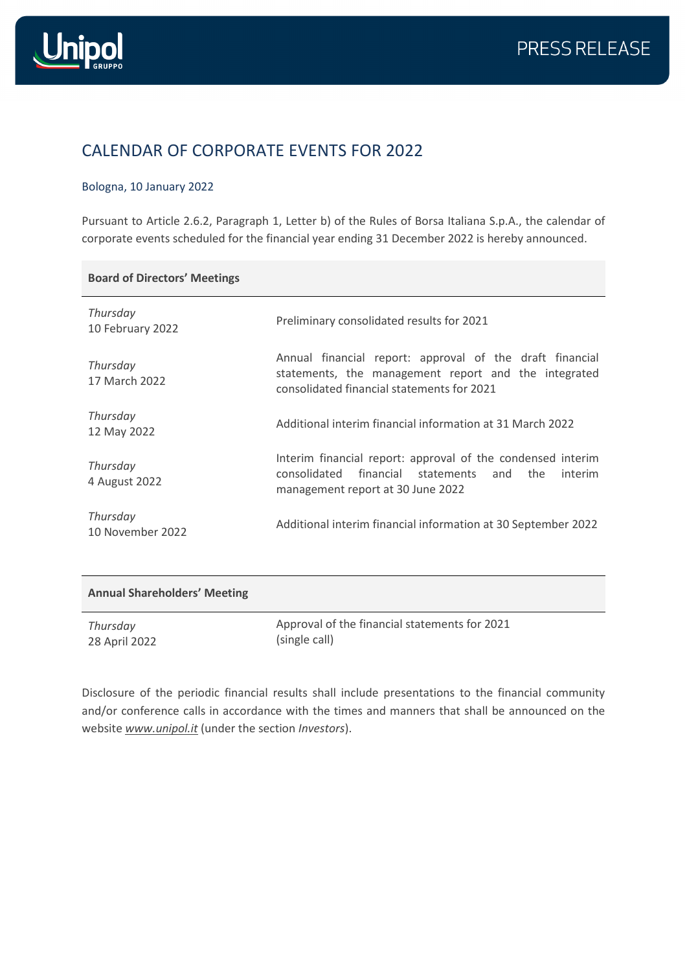

## CALENDAR OF CORPORATE EVENTS FOR 2022

## Bologna, 10 January 2022

Pursuant to Article 2.6.2, Paragraph 1, Letter b) of the Rules of Borsa Italiana S.p.A., the calendar of corporate events scheduled for the financial year ending 31 December 2022 is hereby announced.

## **Board of Directors' Meetings**

| Thursday<br>10 February 2022 | Preliminary consolidated results for 2021                                                                                                                      |
|------------------------------|----------------------------------------------------------------------------------------------------------------------------------------------------------------|
| Thursday<br>17 March 2022    | Annual financial report: approval of the draft financial<br>statements, the management report and the integrated<br>consolidated financial statements for 2021 |
| Thursday<br>12 May 2022      | Additional interim financial information at 31 March 2022                                                                                                      |
| Thursday<br>4 August 2022    | Interim financial report: approval of the condensed interim<br>consolidated financial statements and the<br>interim<br>management report at 30 June 2022       |
| Thursday<br>10 November 2022 | Additional interim financial information at 30 September 2022                                                                                                  |

| <b>Annual Shareholders' Meeting</b> |                                               |
|-------------------------------------|-----------------------------------------------|
| Thursday                            | Approval of the financial statements for 2021 |
| 28 April 2022                       | (single call)                                 |

Disclosure of the periodic financial results shall include presentations to the financial community and/or conference calls in accordance with the times and manners that shall be announced on the website *[www.unipol.it](http://www.unipol.it/)* (under the section *Investors*).